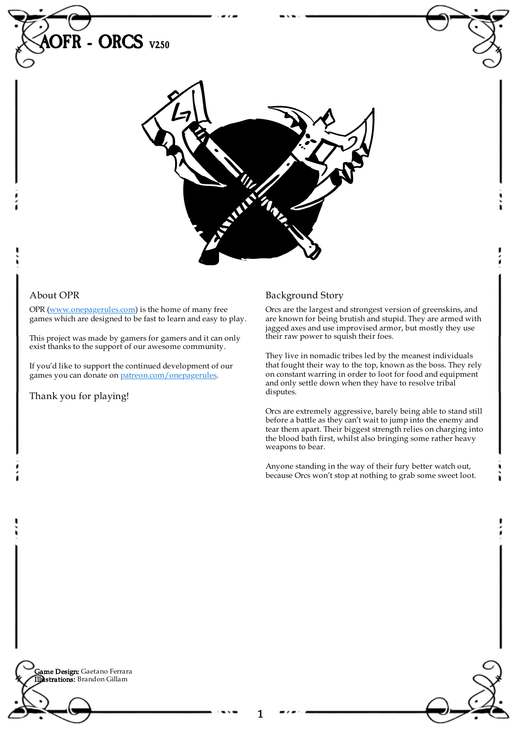

1

## About OPR

OPR [\(www.onepagerules.com](https://webapp.onepagerules.com/army-books/view/AQSDPFVL1DiNNnSU~6/https//www.onepagerules.com)) is the home of many free games which are designed to be fast to learn and easy to play.

This project was made by gamers for gamers and it can only exist thanks to the support of our awesome community.

If you'd like to support the continued development of our games you can donate on [patreon.com/onepagerules](https://www.patreon.com/onepagerules).

Thank you for playing!

## Background Story

Orcs are the largest and strongest version of greenskins, and are known for being brutish and stupid. They are armed with jagged axes and use improvised armor, but mostly they use their raw power to squish their foes.

They live in nomadic tribes led by the meanest individuals that fought their way to the top, known as the boss. They rely on constant warring in order to loot for food and equipment and only settle down when they have to resolve tribal disputes.

Orcs are extremely aggressive, barely being able to stand still before a battle as they can't wait to jump into the enemy and tear them apart. Their biggest strength relies on charging into the blood bath first, whilst also bringing some rather heavy weapons to bear.

Anyone standing in the way of their fury better watch out, because Orcs won't stop at nothing to grab some sweet loot.

**Game Design:** Gaetano Ferrara Illustrations: Brandon Gillam